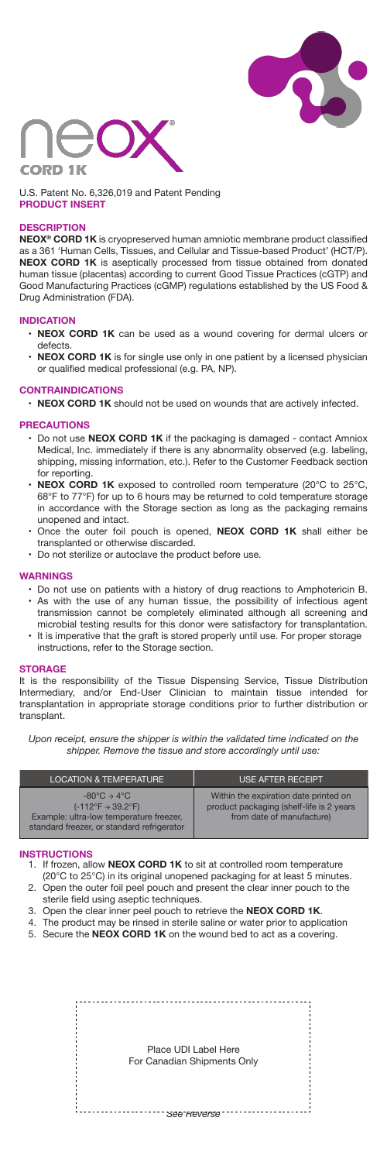



U.S. Patent No. 6,326,019 and Patent Pending **PRODUCT INSERT**

# **DESCRIPTION**

**NEOX® CORD 1K** is cryopreserved human amniotic membrane product classified as a 361 'Human Cells, Tissues, and Cellular and Tissue-based Product' (HCT/P). **NEOX CORD 1K** is aseptically processed from tissue obtained from donated human tissue (placentas) according to current Good Tissue Practices (cGTP) and Good Manufacturing Practices (cGMP) regulations established by the US Food & Drug Administration (FDA).

## **INDICATION**

- **NEOX CORD 1K** can be used as a wound covering for dermal ulcers or defects.
- **NEOX CORD 1K** is for single use only in one patient by a licensed physician or qualified medical professional (e.g. PA, NP).

## **CONTRAINDICATIONS**

• **NEOX CORD 1K** should not be used on wounds that are actively infected.

## **PRECAUTIONS**

- Do not use **NEOX CORD 1K** if the packaging is damaged contact Amniox Medical, Inc. immediately if there is any abnormality observed (e.g. labeling, shipping, missing information, etc.). Refer to the Customer Feedback section for reporting.
- **NEOX CORD 1K** exposed to controlled room temperature (20°C to 25°C, 68°F to 77°F) for up to 6 hours may be returned to cold temperature storage in accordance with the Storage section as long as the packaging remains unopened and intact.
- Once the outer foil pouch is opened, **NEOX CORD 1K** shall either be transplanted or otherwise discarded.
- Do not sterilize or autoclave the product before use.

#### **WARNINGS**

- Do not use on patients with a history of drug reactions to Amphotericin B. • As with the use of any human tissue, the possibility of infectious agent transmission cannot be completely eliminated although all screening and microbial testing results for this donor were satisfactory for transplantation.
- It is imperative that the graft is stored properly until use. For proper storage instructions, refer to the Storage section.

#### **STORAGE**

It is the responsibility of the Tissue Dispensing Service, Tissue Distribution Intermediary, and/or End-User Clinician to maintain tissue intended for transplantation in appropriate storage conditions prior to further distribution or transplant.

*Upon receipt, ensure the shipper is within the validated time indicated on the shipper. Remove the tissue and store accordingly until use:*

| <b>LOCATION &amp; TEMPERATURE</b>                                                                                                                                                    | USE AFTER RECEIPT <sup>1</sup>                                                                                 |
|--------------------------------------------------------------------------------------------------------------------------------------------------------------------------------------|----------------------------------------------------------------------------------------------------------------|
| $-80^{\circ}$ C $\rightarrow$ 4 $^{\circ}$ C<br>$(-112^{\circ}F \rightarrow 39.2^{\circ}F)$<br>Example: ultra-low temperature freezer,<br>standard freezer, or standard refrigerator | Within the expiration date printed on<br>product packaging (shelf-life is 2 years<br>from date of manufacture) |

# **INSTRUCTIONS**

- 1. If frozen, allow **NEOX CORD 1K** to sit at controlled room temperature 2. Open the outer foil peel pouch and present the clear inner pouch to the (20°C to 25°C) in its original unopened packaging for at least 5 minutes.
- sterile field using aseptic techniques.
- 3. Open the clear inner peel pouch to retrieve the **NEOX CORD 1K**.
- 4. 5. Secure the **NEOX CORD 1K** on the wound bed to act as a covering. The product may be rinsed in sterile saline or water prior to application

Place UDI Label Here For Canadian Shipments Only

*See Reverse*